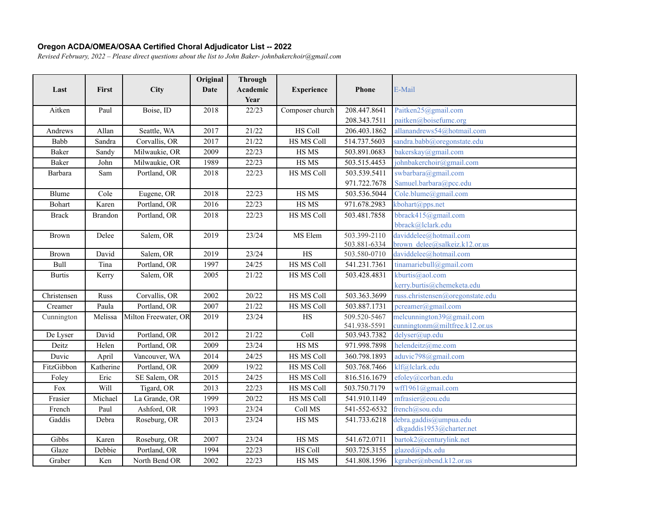## **Oregon ACDA/OMEA/OSAA Certified Choral Adjudicator List -- 2022**

*Revised Februar\, 2022 ± Please direct questions about the list to John Baker- johnbakerchoir@gmail.com*

|               |              |                      | Original    | <b>Through</b> |                   |              |                                                    |
|---------------|--------------|----------------------|-------------|----------------|-------------------|--------------|----------------------------------------------------|
| Last          | <b>First</b> | City                 | <b>Date</b> | Academic       | <b>Experience</b> | <b>Phone</b> | E-Mail                                             |
| Aitken        | Paul         | Boise, ID            | 2018        | Year<br>22/23  | Composer church   | 208.447.8641 | Paitken25@gmail.com                                |
|               |              |                      |             |                |                   | 208.343.7511 | paitken@boisefume.org                              |
| Andrews       | Allan        | Seattle, WA          | 2017        | 21/22          | <b>HS Coll</b>    | 206.403.1862 | allanandrews54@hotmail.com                         |
| Babb          | Sandra       | Corvallis, OR        | 2017        | 21/22          | <b>HS MS Coll</b> | 514.737.5603 | sandra.babb@oregonstate.edu                        |
| Baker         | Sandy        | Milwaukie, OR        | 2009        | 22/23          | HS MS             | 503.891.0683 | bakerskay@gmail.com                                |
| Baker         | John         | Milwaukie, OR        | 1989        | 22/23          | HS MS             | 503.515.4453 | johnbakerchoir@gmail.com                           |
| Barbara       | Sam          | Portland, OR         | 2018        | 22/23          | HS MS Coll        | 503.539.5411 | swbarbara@gmail.com                                |
|               |              |                      |             |                |                   | 971.722.7678 | Samuel.barbara@pcc.edu                             |
| Blume         | Cole         | Eugene, OR           | 2018        | 22/23          | HS MS             | 503.536.5044 | Cole.blume@gmail.com                               |
| <b>Bohart</b> | Karen        | Portland, OR         | 2016        | 22/23          | HS MS             | 971.678.2983 | kbohart@pps.net                                    |
| <b>Brack</b>  | Brandon      | Portland, OR         | 2018        | 22/23          | <b>HS MS Coll</b> | 503.481.7858 | bbrack415@gmail.com                                |
|               |              |                      |             |                |                   |              | bbrack@lclark.edu                                  |
| Brown         | Delee        | Salem, OR            | 2019        | 23/24          | MS Elem           | 503.399-2110 | daviddelee@hotmail.com                             |
|               |              |                      |             |                |                   | 503.881-6334 | brown delee@salkeiz.k12.or.us                      |
| <b>Brown</b>  | David        | Salem, OR            | 2019        | 23/24          | HS                | 503.580-0710 | daviddelee@hotmail.com                             |
| Bull          | Tina         | Portland, OR         | 1997        | 24/25          | <b>HS MS Coll</b> | 541.231.7361 | tinamariebull@gmail.com                            |
| <b>Burtis</b> | Kerry        | Salem, OR            | 2005        | 21/22          | HS MS Coll        | 503.428.4831 | kburtis@aol.com                                    |
|               |              |                      |             |                |                   |              | kerry.burtis@chemeketa.edu                         |
| Christensen   | Russ         | Corvallis, OR        | 2002        | 20/22          | HS MS Coll        | 503.363.3699 | russ.christensen@oregonstate.edu                   |
| Creamer       | Paula        | Portland, OR         | 2007        | 21/22          | HS MS Coll        | 503.887.1731 | pcreamer@gmail.com                                 |
| Cunnington    | Melissa      | Milton Freewater, OR | 2019        | 23/24          | HS                | 509.520-5467 | melcunnington39@gmail.com                          |
|               |              |                      |             |                |                   | 541.938-5591 | cunningtonm@miltfree.k12.or.us                     |
| De Lyser      | David        | Portland, OR         | 2012        | 21/22          | Coll              | 503.943.7382 | delyser@up.edu                                     |
| Deitz         | Helen        | Portland, OR         | 2009        | 23/24          | HS MS             | 971.998.7898 | helendeitz@me.com                                  |
| Duvic         | April        | Vancouver, WA        | 2014        | 24/25          | HS MS Coll        | 360.798.1893 | aduvic798@gmail.com                                |
| FitzGibbon    | Katherine    | Portland, OR         | 2009        | 19/22          | HS MS Coll        | 503.768.7466 | klf@lclark.edu                                     |
| Foley         | Eric         | SE Salem, OR         | 2015        | 24/25          | HS MS Coll        | 816.516.1679 | efoley@corban.edu                                  |
| Fox           | Will         | Tigard, OR           | 2013        | 22/23          | HS MS Coll        | 503.750.7179 | wff1961@gmail.com                                  |
| Frasier       | Michael      | La Grande, OR        | 1999        | 20/22          | HS MS Coll        | 541.910.1149 | mfrasier@eou.edu                                   |
| French        | Paul         | Ashford, OR          | 1993        | 23/24          | Coll MS           | 541-552-6532 | french@sou.edu                                     |
| Gaddis        | Debra        | Roseburg, OR         | 2013        | 23/24          | HS MS             | 541.733.6218 | debra.gaddis@umpua.edu<br>dkgaddis1953@charter.net |
| Gibbs         | Karen        | Roseburg, OR         | 2007        | 23/24          | HS MS             | 541.672.0711 | bartok2@centurylink.net                            |
| Glaze         | Debbie       | Portland, OR         | 1994        | 22/23          | HS Coll           | 503.725.3155 | glazed@pdx.edu                                     |
| Graber        | Ken          | North Bend OR        | 2002        | 22/23          | HS MS             | 541.808.1596 | kgraber@nbend.k12.or.us                            |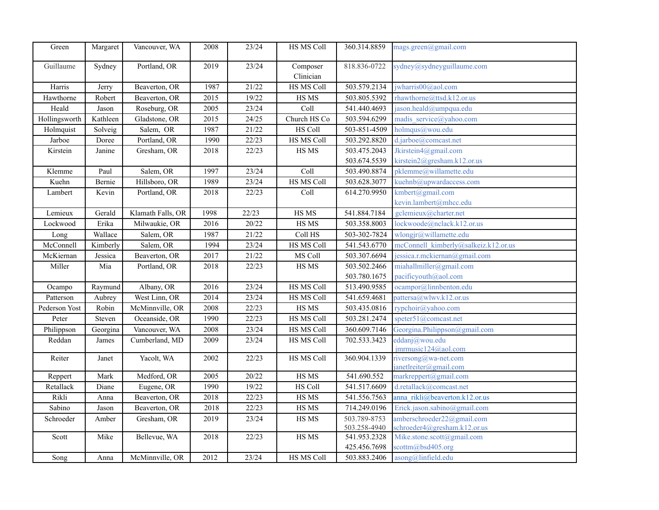| Green         | Margaret | Vancouver, WA     | 2008              | 23/24 | HS MS Coll               | 360.314.8859 | mags.green@gmail.com                         |
|---------------|----------|-------------------|-------------------|-------|--------------------------|--------------|----------------------------------------------|
| Guillaume     | Sydney   | Portland, OR      | 2019              | 23/24 | Composer<br>Clinician    | 818.836-0722 | sydney@sydneyguillaume.com                   |
| Harris        | Jerry    | Beaverton, OR     | 1987              | 21/22 | HS MS Coll               | 503.579.2134 | jwharris00@aol.com                           |
| Hawthorne     | Robert   | Beaverton, OR     | 2015              | 19/22 | HS MS                    | 503.805.5392 | rhawthorne@ttsd.k12.or.us                    |
| Heald         | Jason    | Roseburg, OR      | 2005              | 23/24 | Coll                     | 541.440.4693 | jason.heald@umpqua.edu                       |
| Hollingsworth | Kathleen | Gladstone, OR     | 2015              | 24/25 | Church HS Co             | 503.594.6299 | madis service@yahoo.com                      |
| Holmquist     | Solveig  | Salem, OR         | 1987              | 21/22 | HS Coll                  | 503-851-4509 | holmqus@wou.edu                              |
| Jarboe        | Doree    | Portland, OR      | 1990              | 22/23 | HS MS Coll               | 503.292.8820 | d.jarboe@comcast.net                         |
| Kirstein      | Janine   | Gresham, OR       | 2018              | 22/23 | HS MS                    | 503.475.2043 | Jkirstein4@gmail.com                         |
|               |          |                   |                   |       |                          | 503.674.5539 | kirstein2@gresham.k12.or.us                  |
| Klemme        | Paul     | Salem, OR         | 1997              | 23/24 | Coll                     | 503.490.8874 | pklemme@willamette.edu                       |
| Kuehn         | Bernie   | Hillsboro, OR     | 1989              | 23/24 | <b>HS MS Coll</b>        | 503.628.3077 | kuehnb@upwardaccess.com                      |
| Lambert       | Kevin    | Portland, OR      | 2018              | 22/23 | $\overline{\text{Coll}}$ | 614.270.9950 | kmbert@gmail.com                             |
|               |          |                   |                   |       |                          |              | kevin.lambert@mhcc.edu                       |
| Lemieux       | Gerald   | Klamath Falls, OR | 1998              | 22/23 | HS MS                    | 541.884.7184 | gclemieux@charter.net                        |
| Lockwood      | Erika    | Milwaukie, OR     | 2016              | 20/22 | HS MS                    | 503.358.8003 | lockwoode@nclack.k12.or.us                   |
| Long          | Wallace  | Salem, OR         | 1987              | 21/22 | Coll HS                  | 503-302-7824 | wlongjr@willamette.edu                       |
| McConnell     | Kimberly | Salem, OR         | 1994              | 23/24 | <b>HS MS Coll</b>        | 541.543.6770 | mcConnell kimberly@salkeiz.k12.or.us         |
| McKiernan     | Jessica  | Beaverton, OR     | 2017              | 21/22 | MS Coll                  | 503.307.6694 | jessica.r.mckiernan@gmail.com                |
| Miller        | Mia      | Portland, OR      | 2018              | 22/23 | HS MS                    | 503.502.2466 | miahallmiller@gmail.com                      |
|               |          |                   |                   |       |                          | 503.780.1675 | pacificyouth@aol.com                         |
| Ocampo        | Raymund  | Albany, OR        | 2016              | 23/24 | HS MS Coll               | 513.490.9585 | ocampor@linnbenton.edu                       |
| Patterson     | Aubrey   | West Linn, OR     | 2014              | 23/24 | HS MS Coll               | 541.659.4681 | patternsa@www.k12. or.us                     |
| Pederson Yost | Robin    | McMinnville, OR   | 2008              | 22/23 | HS MS                    | 503.435.0816 | rypchoir@yahoo.com                           |
| Peter         | Steven   | Oceanside, OR     | 1990              | 22/23 | HS MS Coll               | 503.281.2474 | speter51@comcast.net                         |
| Philippson    | Georgina | Vancouver, WA     | 2008              | 23/24 | HS MS Coll               | 360.609.7146 | Georgina.Philippson@gmail.com                |
| Reddan        | James    | Cumberland, MD    | 2009              | 23/24 | HS MS Coll               | 702.533.3423 | eddanj@wou.edu                               |
|               |          |                   |                   |       |                          |              | jmrmusic124@aol.com                          |
| Reiter        | Janet    | Yacolt, WA        | 2002              | 22/23 | HS MS Coll               | 360.904.1339 | riversong@wa-net.com<br>janetherian equation |
| Reppert       | Mark     | Medford, OR       | 2005              | 20/22 | <b>HS MS</b>             | 541.690.552  | markreppert@gmail.com                        |
| Retallack     | Diane    | Eugene, OR        | 1990              | 19/22 | <b>HS Coll</b>           | 541.517.6609 | d.retallack@comcast.net                      |
| Rikli         | Anna     | Beaverton, OR     | 2018              | 22/23 | HS MS                    | 541.556.7563 | anna rikli@beaverton.k12.or.us               |
| Sabino        | Jason    | Beaverton, OR     | 2018              | 22/23 | HS MS                    | 714.249.0196 | Erick.jason.sabino@gmail.com                 |
| Schroeder     | Amber    | Gresham, OR       | 2019              | 23/24 | HS MS                    | 503.789-8753 | amberschroeder22@gmail.com                   |
|               |          |                   |                   |       |                          | 503.258-4940 | schroeder4@gresham.k12.or.us                 |
| Scott         | Mike     | Bellevue, WA      | 2018              | 22/23 | HS MS                    | 541.953.2328 | Mike.stone.scott@gmail.com                   |
|               |          |                   |                   |       |                          | 425.456.7698 | scottm@bsd405.org                            |
| Song          | Anna     | McMinnville, OR   | $\overline{2012}$ | 23/24 | <b>HS MS Coll</b>        | 503.883.2406 | asong@linfield.edu                           |